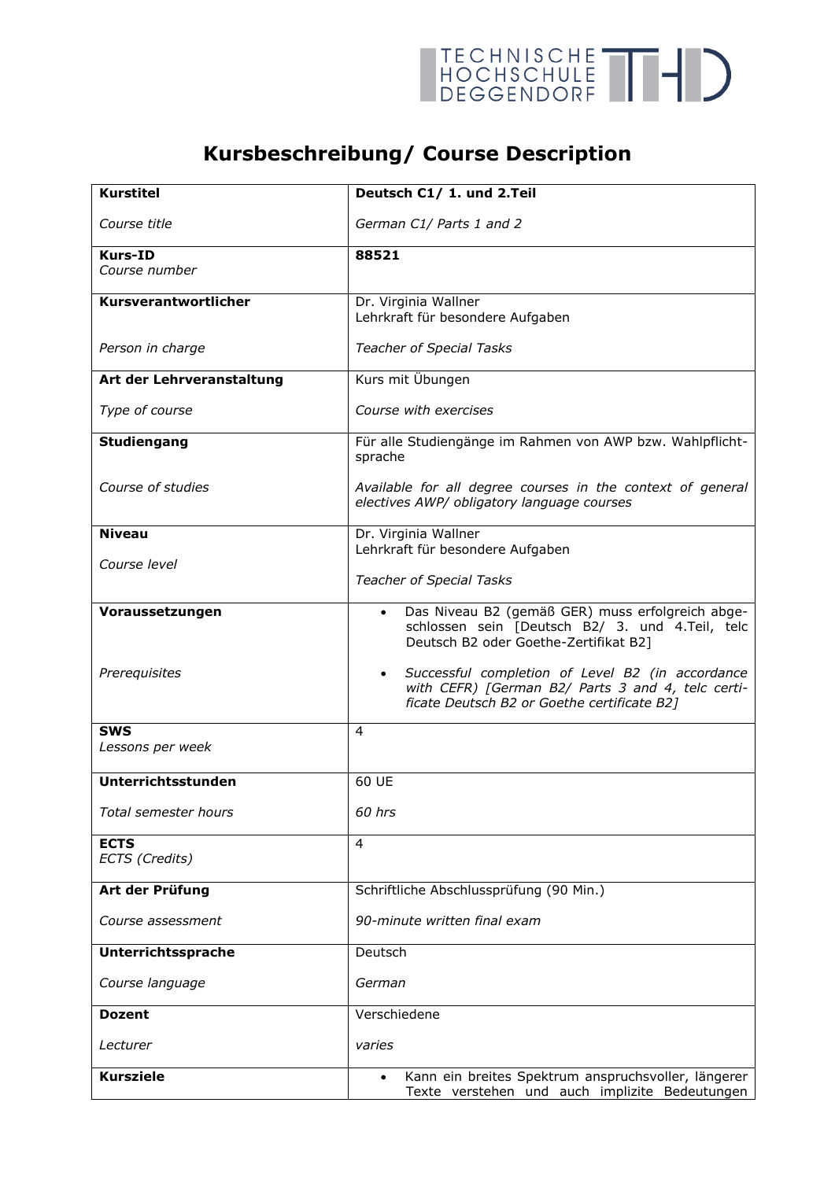

## **Kursbeschreibung/ Course Description**

| Kurstitel                     | Deutsch C1/ 1. und 2.Teil                                                                                                                                         |
|-------------------------------|-------------------------------------------------------------------------------------------------------------------------------------------------------------------|
| Course title                  | German C1/ Parts 1 and 2                                                                                                                                          |
| <b>Kurs-ID</b>                | 88521                                                                                                                                                             |
| Course number                 |                                                                                                                                                                   |
| Kursverantwortlicher          | Dr. Virginia Wallner<br>Lehrkraft für besondere Aufgaben                                                                                                          |
| Person in charge              | <b>Teacher of Special Tasks</b>                                                                                                                                   |
| Art der Lehrveranstaltung     | Kurs mit Übungen                                                                                                                                                  |
| Type of course                | Course with exercises                                                                                                                                             |
| Studiengang                   | Für alle Studiengänge im Rahmen von AWP bzw. Wahlpflicht-<br>sprache                                                                                              |
| Course of studies             | Available for all degree courses in the context of general<br>electives AWP/ obligatory language courses                                                          |
| <b>Niveau</b>                 | Dr. Virginia Wallner                                                                                                                                              |
| Course level                  | Lehrkraft für besondere Aufgaben                                                                                                                                  |
|                               | <b>Teacher of Special Tasks</b>                                                                                                                                   |
| Voraussetzungen               | Das Niveau B2 (gemäß GER) muss erfolgreich abge-<br>schlossen sein [Deutsch B2/ 3. und 4.Teil, telc<br>Deutsch B2 oder Goethe-Zertifikat B2]                      |
| Prerequisites                 | Successful completion of Level B2 (in accordance<br>$\bullet$<br>with CEFR) [German B2/ Parts 3 and 4, telc certi-<br>ficate Deutsch B2 or Goethe certificate B2] |
| <b>SWS</b>                    | 4                                                                                                                                                                 |
| Lessons per week              |                                                                                                                                                                   |
| Unterrichtsstunden            | 60 UE                                                                                                                                                             |
| Total semester hours          | 60 hrs                                                                                                                                                            |
| <b>ECTS</b><br>ECTS (Credits) | $\overline{4}$                                                                                                                                                    |
| Art der Prüfung               | Schriftliche Abschlussprüfung (90 Min.)                                                                                                                           |
| Course assessment             | 90-minute written final exam                                                                                                                                      |
| Unterrichtssprache            | Deutsch                                                                                                                                                           |
| Course language               | German                                                                                                                                                            |
| <b>Dozent</b>                 | Verschiedene                                                                                                                                                      |
| Lecturer                      | varies                                                                                                                                                            |
| <b>Kursziele</b>              | Kann ein breites Spektrum anspruchsvoller, längerer<br>Texte verstehen und auch implizite Bedeutungen                                                             |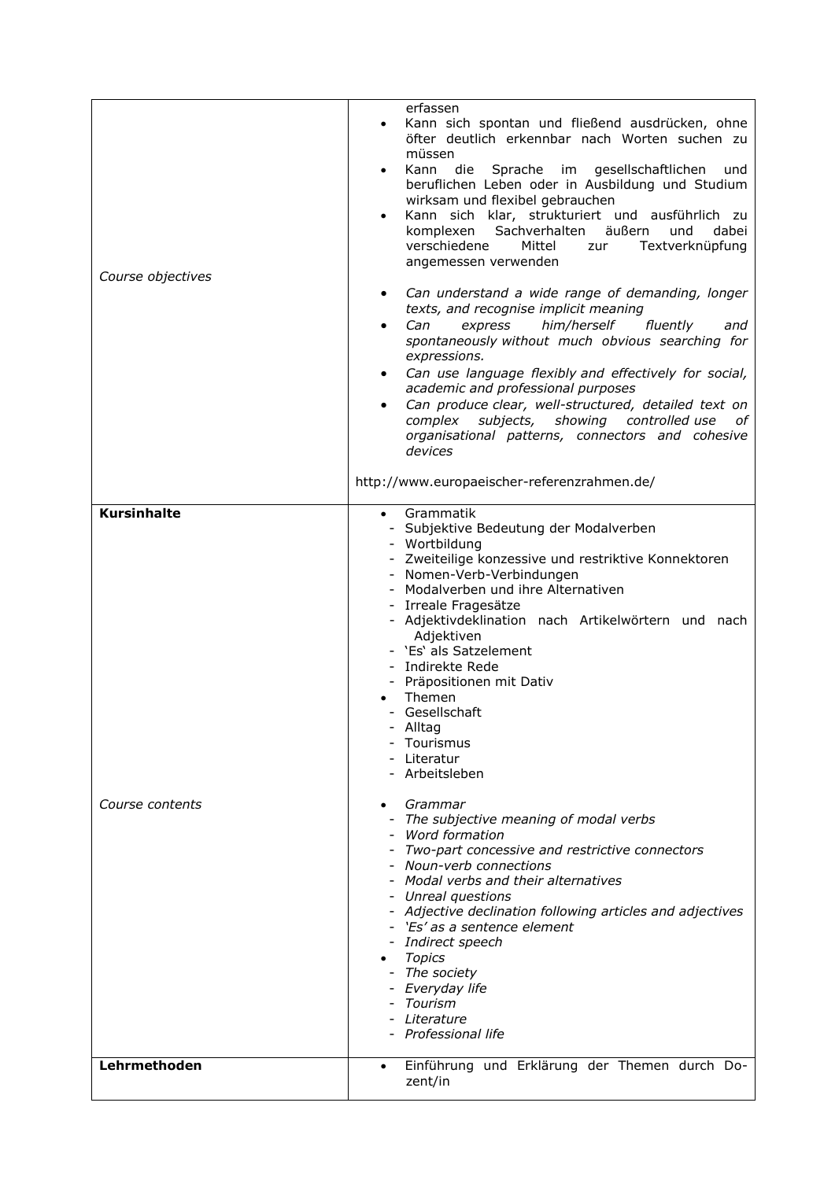| Course objectives  | erfassen<br>Kann sich spontan und fließend ausdrücken, ohne<br>$\bullet$<br>öfter deutlich erkennbar nach Worten suchen zu<br>müssen<br>Kann die Sprache im gesellschaftlichen<br>und<br>beruflichen Leben oder in Ausbildung und Studium<br>wirksam und flexibel gebrauchen<br>Kann sich klar, strukturiert und ausführlich zu<br>komplexen Sachverhalten<br>äußern<br>und<br>dabei<br>verschiedene<br>Mittel<br>Textverknüpfung<br>zur<br>angemessen verwenden<br>Can understand a wide range of demanding, longer<br>texts, and recognise implicit meaning<br>him/herself<br>fluently<br>Can<br>express<br>and<br>spontaneously without much obvious searching for<br>expressions.<br>Can use language flexibly and effectively for social,<br>academic and professional purposes<br>Can produce clear, well-structured, detailed text on<br>complex subjects, showing controlled use<br>οf<br>organisational patterns, connectors and cohesive<br>devices |
|--------------------|---------------------------------------------------------------------------------------------------------------------------------------------------------------------------------------------------------------------------------------------------------------------------------------------------------------------------------------------------------------------------------------------------------------------------------------------------------------------------------------------------------------------------------------------------------------------------------------------------------------------------------------------------------------------------------------------------------------------------------------------------------------------------------------------------------------------------------------------------------------------------------------------------------------------------------------------------------------|
|                    | http://www.europaeischer-referenzrahmen.de/                                                                                                                                                                                                                                                                                                                                                                                                                                                                                                                                                                                                                                                                                                                                                                                                                                                                                                                   |
| <b>Kursinhalte</b> | Grammatik<br>$\bullet$                                                                                                                                                                                                                                                                                                                                                                                                                                                                                                                                                                                                                                                                                                                                                                                                                                                                                                                                        |
|                    | - Subjektive Bedeutung der Modalverben<br>- Wortbildung<br>- Zweiteilige konzessive und restriktive Konnektoren<br>- Nomen-Verb-Verbindungen<br>- Modalverben und ihre Alternativen<br>- Irreale Fragesätze<br>- Adjektivdeklination nach Artikelwörtern und nach<br>Adjektiven<br>- 'Es' als Satzelement<br>- Indirekte Rede<br>- Präpositionen mit Dativ<br>Themen<br>- Gesellschaft<br>Alltag<br>Tourismus<br>Literatur<br>- Arbeitsleben                                                                                                                                                                                                                                                                                                                                                                                                                                                                                                                  |
| Course contents    | Grammar<br>The subjective meaning of modal verbs<br>Word formation<br>Two-part concessive and restrictive connectors<br>Noun-verb connections<br>- Modal verbs and their alternatives<br>Unreal questions<br>- Adjective declination following articles and adjectives<br>- 'Es' as a sentence element<br>- Indirect speech<br><b>Topics</b><br>- The society<br>- Everyday life<br>Tourism<br>Literature<br>- Professional life                                                                                                                                                                                                                                                                                                                                                                                                                                                                                                                              |
| Lehrmethoden       | Einführung und Erklärung der Themen durch Do-<br>$\bullet$<br>zent/in                                                                                                                                                                                                                                                                                                                                                                                                                                                                                                                                                                                                                                                                                                                                                                                                                                                                                         |